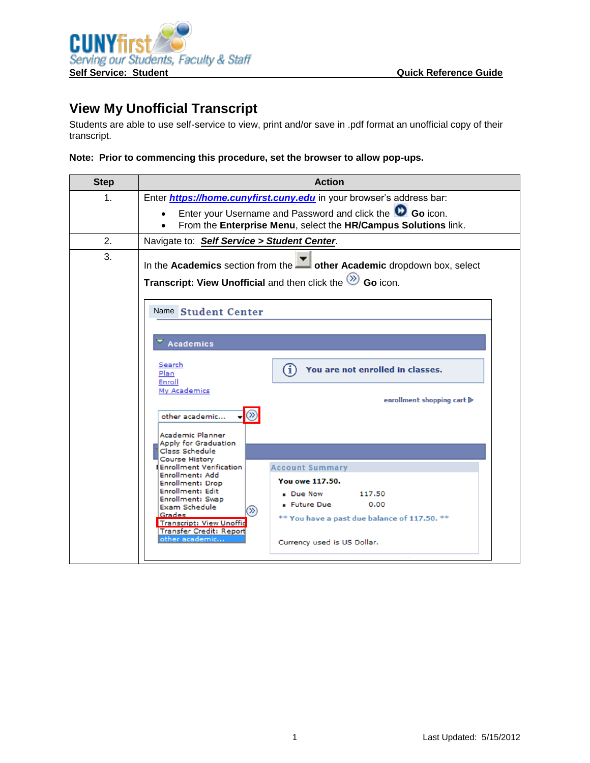

## **View My Unofficial Transcript**

Students are able to use self-service to view, print and/or save in .pdf format an unofficial copy of their transcript.

## **Note: Prior to commencing this procedure, set the browser to allow pop-ups.**

| <b>Step</b> | <b>Action</b>                                                                                                                                                                                                                                                                                                                                                                                                                                                                                                                                                                                                                      |
|-------------|------------------------------------------------------------------------------------------------------------------------------------------------------------------------------------------------------------------------------------------------------------------------------------------------------------------------------------------------------------------------------------------------------------------------------------------------------------------------------------------------------------------------------------------------------------------------------------------------------------------------------------|
| 1.          | Enter <i>https://home.cunyfirst.cuny.edu</i> in your browser's address bar:                                                                                                                                                                                                                                                                                                                                                                                                                                                                                                                                                        |
|             | Enter your Username and Password and click the CO Go icon.<br>From the Enterprise Menu, select the HR/Campus Solutions link.                                                                                                                                                                                                                                                                                                                                                                                                                                                                                                       |
| 2.          | Navigate to: Self Service > Student Center.                                                                                                                                                                                                                                                                                                                                                                                                                                                                                                                                                                                        |
| 3.          | In the Academics section from the <b>other Academic</b> dropdown box, select<br>Transcript: View Unofficial and then click the $\otimes$ Go icon.                                                                                                                                                                                                                                                                                                                                                                                                                                                                                  |
|             | Name Student Center<br>Academics<br>Search<br>You are not enrolled in classes.<br>61<br>Plan<br>Enroll<br>My Academics<br>enrollment shopping cart ▶<br>other academic<br>Academic Planner<br>Apply for Graduation<br>Class Schedule<br><b>Course History</b><br><b>Enrollment Verification</b><br><b>Account Summary</b><br>Enrollment: Add<br>You owe 117.50.<br><b>Enrollment: Drop</b><br><b>Enrollment: Edit</b><br><b>Due Now</b><br>117.50<br>Enrollment: Swap<br>0.00<br><b>- Future Due</b><br><b>Exam Schedule</b><br>$\gg$<br>Grades<br>** You have a past due balance of 117.50. **<br><b>Transcript: View Unoffic</b> |
|             | <b>Transfer Credit: Report</b><br>other academic<br>Currency used is US Dollar.                                                                                                                                                                                                                                                                                                                                                                                                                                                                                                                                                    |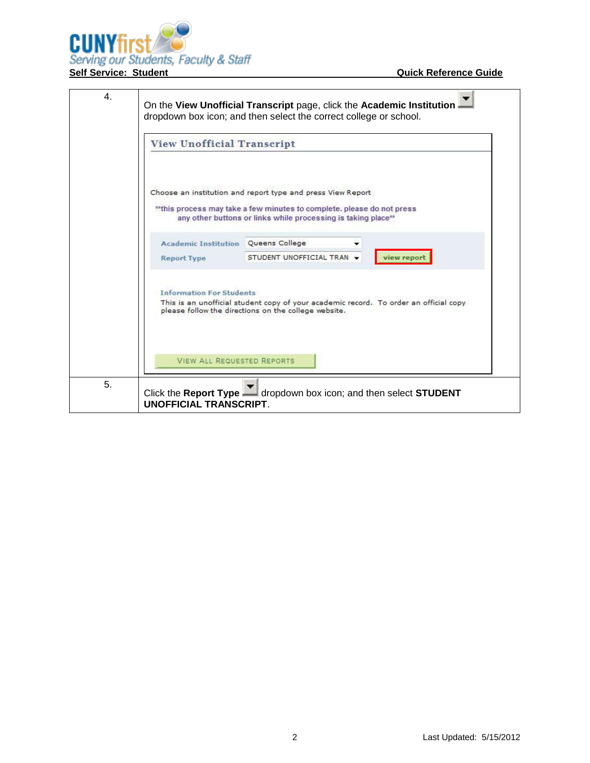

| <b>View Unofficial Transcript</b>                                |                                                                                                                                                                                                         |  |
|------------------------------------------------------------------|---------------------------------------------------------------------------------------------------------------------------------------------------------------------------------------------------------|--|
|                                                                  | Choose an institution and report type and press View Report<br>** this process may take a few minutes to complete, please do not press<br>any other buttons or links while processing is taking place** |  |
| <b>Academic Institution</b> Queens College<br><b>Report Type</b> | STUDENT UNOFFICIAL TRAN +<br>view report                                                                                                                                                                |  |
| <b>Information For Students</b>                                  | This is an unofficial student copy of your academic record. To order an official copy<br>please follow the directions on the college website.                                                           |  |
| <b>VIEW ALL REQUESTED REPORTS</b>                                |                                                                                                                                                                                                         |  |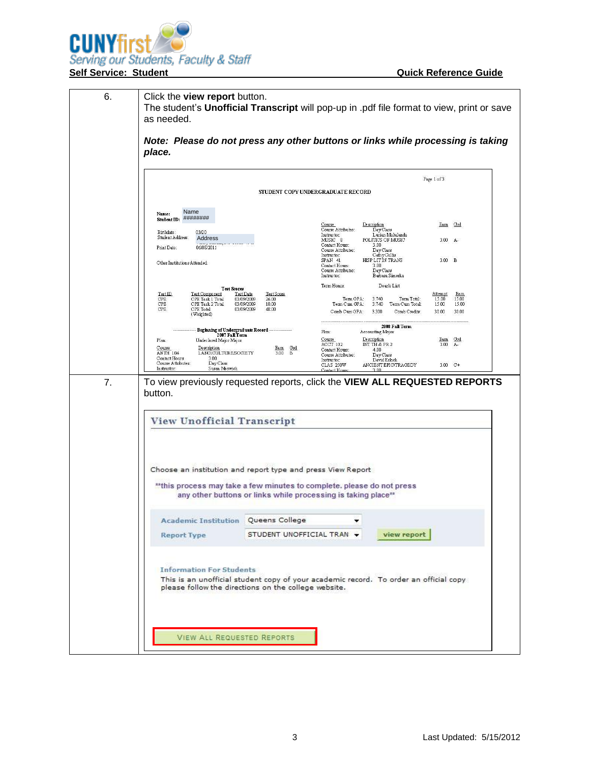

|    |                                                                                                                                          |                                            |                                                                              |                                                           | Page 1 of 3             |                |
|----|------------------------------------------------------------------------------------------------------------------------------------------|--------------------------------------------|------------------------------------------------------------------------------|-----------------------------------------------------------|-------------------------|----------------|
|    |                                                                                                                                          |                                            | STUDENT COPY UNDERGRADUATE RECORD                                            |                                                           |                         |                |
|    | Name<br>Name:<br>Student ID: ########                                                                                                    |                                            |                                                                              |                                                           |                         |                |
|    | 03/20<br>Birthdate:<br>Student Address:<br>Address                                                                                       |                                            | <b>Description</b><br>Course<br>Course Attributes:<br>Instructor:<br>MUSIC 8 | DayClass<br>Lucian Makalanda<br>POLITICS OF MUSIC         | Eam Grd<br>$3.00 A -$   |                |
|    | 06/08/2011<br>Print Date:                                                                                                                |                                            | Contact Hours:<br>Course Attributes:<br>Instructor:<br>SPAN 41               | 3.00<br>Day Class<br>CathyCallis<br>HISP LIT IN TRANS     | 3.00 B                  |                |
|    | Other Institutions Attended:                                                                                                             |                                            | Contact Hours:<br>Course Attributes:<br>Instructor:                          | 3.00<br>Day Class<br>Barbara Simerka                      |                         |                |
|    | <b>Test Scores</b><br>Test Component<br>Test Date<br>Test ID<br>CPE<br>CPE Task 1 Total                                                  | Test Score<br>03/09/2009<br>26.00          | Term Honor:<br>Term GPA:                                                     | Dean's List<br>3.740<br>Term Total:                       | <u>Attempt</u><br>15.00 | Eam<br>15.00   |
|    | $\rm{CPE}$<br>CPE Task 2 Total<br>CPE<br>CPE Total<br>(Weighted)                                                                         | 03/09/2009<br>10.00<br>03/09/2009<br>48.00 | Term Cum GPA:<br>Comb Cum GPA:                                               | 3.740<br>Term Cum Total:<br>3.300<br>Comb Credits:        | 15.00<br>30.00          | 15.00<br>30.00 |
|    | Beginning of Undergraduate Record<br>2007 Fall Term<br>Plan:<br>Undeclared Major Major                                                   |                                            | Plan:<br>Course<br>Description                                               | 2008 Fall Term<br>Accounting Major                        | Eam Grd                 |                |
|    | Course<br>Description<br><b>LANG/CULTURESOCIETY</b><br><b>ANTH 104</b><br>Contact Hours:<br>3.00<br>Day Class<br>Course Attributes:      | Eam Grd<br>$3.00$ B                        | ACCT 102<br>Contact Hours:<br>Course Attributes:<br>Instructor:              | INT TH & PR 2<br>4.00<br><b>Day Class</b><br>David Erlach | 3.00                    | $A-$           |
| 7. | Instructor:<br>Susan Meswick<br>To view previously requested reports, click the VIEW ALL REQUESTED REPORTS                               |                                            | <b>CLAS 250W</b><br>Contact Hour                                             | ANCIENT EPIC/TRAGEDY<br>3.00                              | $3.00$ C+               |                |
|    | button.                                                                                                                                  |                                            |                                                                              |                                                           |                         |                |
|    | <b>View Unofficial Transcript</b>                                                                                                        |                                            |                                                                              |                                                           |                         |                |
|    |                                                                                                                                          |                                            |                                                                              |                                                           |                         |                |
|    |                                                                                                                                          |                                            |                                                                              |                                                           |                         |                |
|    |                                                                                                                                          |                                            |                                                                              |                                                           |                         |                |
|    | Choose an institution and report type and press View Report                                                                              |                                            |                                                                              |                                                           |                         |                |
|    | ** this process may take a few minutes to complete. please do not press<br>any other buttons or links while processing is taking place** |                                            |                                                                              |                                                           |                         |                |
|    | <b>Academic Institution Queens College</b>                                                                                               |                                            |                                                                              |                                                           |                         |                |
|    | <b>Report Type</b>                                                                                                                       | STUDENT UNOFFICIAL TRAN +                  |                                                                              | view report                                               |                         |                |
|    |                                                                                                                                          |                                            |                                                                              |                                                           |                         |                |